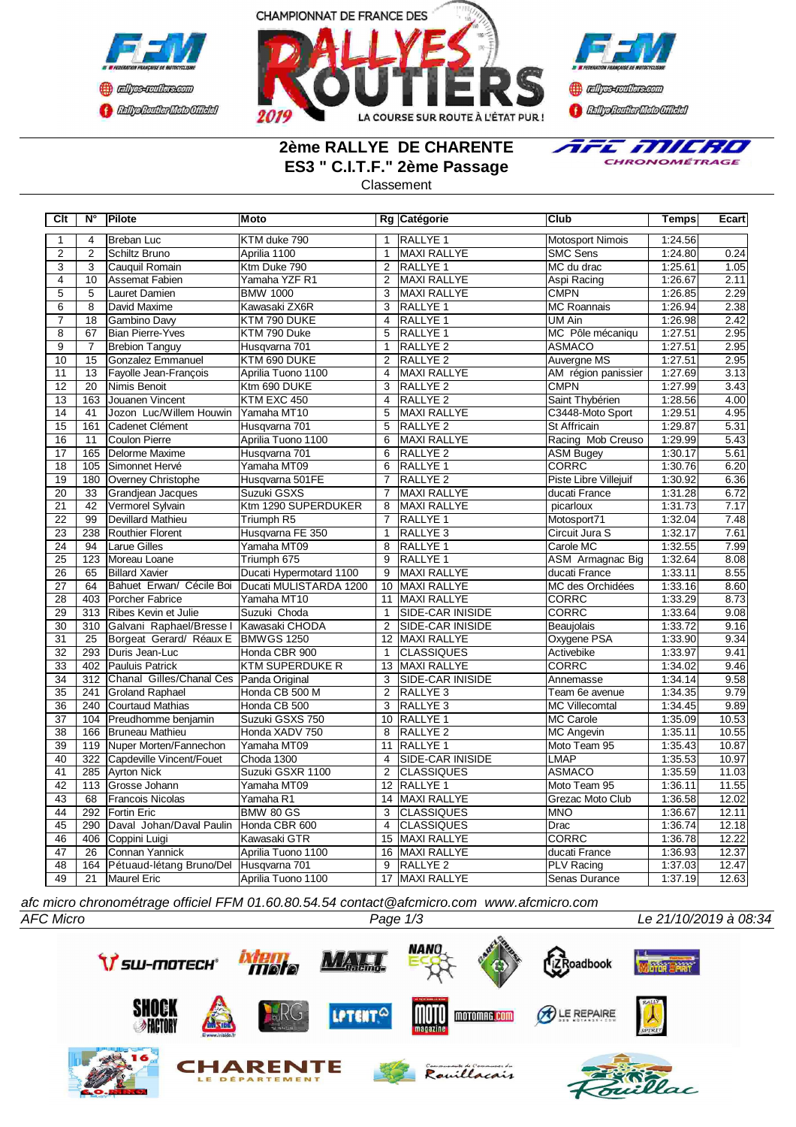





# **2ème RALLYE DE CHARENTE ES3 " C.I.T.F." 2ème Passage**



### Classement

| Clt             | N°              | Pilote                                 | <b>Moto</b>             |                | Rg Catégorie            | <b>Club</b>             | Temps   | Ecart |
|-----------------|-----------------|----------------------------------------|-------------------------|----------------|-------------------------|-------------------------|---------|-------|
| 1               | $\overline{4}$  | <b>Breban Luc</b>                      | KTM duke 790            | $\mathbf{1}$   | <b>RALLYE 1</b>         | <b>Motosport Nimois</b> | 1:24.56 |       |
| $\overline{2}$  | $\overline{2}$  | Schiltz Bruno                          | Aprilia 1100            | $\mathbf{1}$   | <b>MAXI RALLYE</b>      | <b>SMC Sens</b>         | 1:24.80 | 0.24  |
| $\overline{3}$  | 3               | Cauquil Romain                         | Ktm Duke 790            | 2              | RALLYE 1                | MC du drac              | 1:25.61 | 1.05  |
| $\overline{4}$  | 10              | <b>Assemat Fabien</b>                  | Yamaha YZF R1           | $\overline{2}$ | <b>MAXI RALLYE</b>      | Aspi Racing             | 1:26.67 | 2.11  |
| $\overline{5}$  | 5               | Lauret Damien                          | <b>BMW 1000</b>         | 3              | <b>MAXI RALLYE</b>      | <b>CMPN</b>             | 1:26.85 | 2.29  |
| $\overline{6}$  | 8               | David Maxime                           | Kawasaki ZX6R           | 3              | RALLYE 1                | <b>MC Roannais</b>      | 1:26.94 | 2.38  |
| 7               | 18              | Gambino Davy                           | KTM 790 DUKE            | 4              | RALLYE 1                | UM Ain                  | 1:26.98 | 2.42  |
| $\overline{8}$  | $\overline{67}$ | <b>Bian Pierre-Yves</b>                | KTM 790 Duke            | $\overline{5}$ | <b>RALLYE 1</b>         | MC Pôle mécaniqu        | 1:27.51 | 2.95  |
| $\overline{9}$  | $\overline{7}$  | <b>Brebion Tanguy</b>                  | Husqvarna 701           | $\mathbf{1}$   | RALLYE <sub>2</sub>     | <b>ASMACO</b>           | 1:27.51 | 2.95  |
| 10              | 15              | Gonzalez Emmanuel                      | KTM 690 DUKE            | 2              | <b>RALLYE 2</b>         | Auvergne MS             | 1:27.51 | 2.95  |
| 11              | 13              | Fayolle Jean-François                  | Aprilia Tuono 1100      | $\overline{4}$ | <b>MAXI RALLYE</b>      | AM région panissier     | 1:27.69 | 3.13  |
| 12              | 20              | Nimis Benoit                           | Ktm 690 DUKE            | $\overline{3}$ | <b>RALLYE 2</b>         | <b>CMPN</b>             | 1:27.99 | 3.43  |
| 13              | 163             | Jouanen Vincent                        | KTM EXC 450             | $\overline{4}$ | <b>RALLYE 2</b>         | Saint Thybérien         | 1:28.56 | 4.00  |
| 14              | 41              | Jozon Luc/Willem Houwin                | Yamaha MT10             | 5              | <b>MAXI RALLYE</b>      | C3448-Moto Sport        | 1:29.51 | 4.95  |
| 15              | 161             | Cadenet Clément                        | Husqvarna 701           | 5              | <b>RALLYE 2</b>         | St Affricain            | 1:29.87 | 5.31  |
| 16              | 11              | Coulon Pierre                          | Aprilia Tuono 1100      | 6              | MAXI RALLYE             | Racing Mob Creuso       | 1:29.99 | 5.43  |
| 17              | 165             | Delorme Maxime                         | Husqvarna 701           | 6              | RALLYE <sub>2</sub>     | <b>ASM Bugey</b>        | 1:30.17 | 5.61  |
| $\overline{18}$ | 105             | Simonnet Hervé                         | Yamaha MT09             | 6              | <b>RALLYE 1</b>         | <b>CORRC</b>            | 1:30.76 | 6.20  |
| 19              | 180             | Overney Christophe                     | Husqvarna 501FE         | $\overline{7}$ | RALLYE <sub>2</sub>     | Piste Libre Villejuif   | 1:30.92 | 6.36  |
| 20              | 33              | Grandjean Jacques                      | Suzuki GSXS             | $\overline{7}$ | <b>MAXI RALLYE</b>      | ducati France           | 1:31.28 | 6.72  |
| 21              | 42              | Vermorel Sylvain                       | Ktm 1290 SUPERDUKER     | 8              | <b>MAXI RALLYE</b>      | picarloux               | 1:31.73 | 7.17  |
| 22              | 99              | Devillard Mathieu                      | Triumph R5              | $\overline{7}$ | RALLYE 1                | Motosport71             | 1:32.04 | 7.48  |
| 23              | 238             | Routhier Florent                       | Husqvarna FE 350        | $\overline{1}$ | RALLYE <sub>3</sub>     | Circuit Jura S          | 1:32.17 | 7.61  |
| 24              | 94              | <b>Larue Gilles</b>                    | Yamaha MT09             | 8              | RALLYE 1                | Carole MC               | 1:32.55 | 7.99  |
| 25              | 123             | Moreau Loane                           | Triumph 675             | 9              | RALLYE 1                | ASM Armagnac Big        | 1:32.64 | 8.08  |
| 26              | 65              | <b>Billard Xavier</b>                  | Ducati Hypermotard 1100 | 9              | <b>MAXI RALLYE</b>      | ducati France           | 1:33.11 | 8.55  |
| 27              | 64              | Bahuet Erwan/ Cécile Boi               | Ducati MULISTARDA 1200  | 10             | <b>MAXI RALLYE</b>      | MC des Orchidées        | 1:33.16 | 8.60  |
| $\overline{28}$ | 403             | Porcher Fabrice                        | Yamaha MT10             | 11             | MAXI RALLYE             | <b>CORRC</b>            | 1:33.29 | 8.73  |
| 29              | 313             | Ribes Kevin et Julie                   | Suzuki Choda            | $\mathbf{1}$   | <b>SIDE-CAR INISIDE</b> | <b>CORRC</b>            | 1:33.64 | 9.08  |
| 30              | 310             | Galvani Raphael/Bresse I               | Kawasaki CHODA          | 2              | <b>SIDE-CAR INISIDE</b> | Beaujolais              | 1:33.72 | 9.16  |
| 31              | 25              | Borgeat Gerard/ Réaux E                | <b>BMWGS 1250</b>       | 12             | <b>MAXI RALLYE</b>      | Oxygene PSA             | 1:33.90 | 9.34  |
| 32              | 293             | Duris Jean-Luc                         | Honda CBR 900           | $\mathbf{1}$   | <b>CLASSIQUES</b>       | Activebike              | 1:33.97 | 9.41  |
| 33              | 402             | Pauluis Patrick                        | <b>KTM SUPERDUKE R</b>  | 13             | <b>MAXI RALLYE</b>      | <b>CORRC</b>            | 1:34.02 | 9.46  |
| 34              | 312             | Chanal Gilles/Chanal Ces               | Panda Original          | 3              | SIDE-CAR INISIDE        | Annemasse               | 1:34.14 | 9.58  |
| 35              | 241             | <b>Groland Raphael</b>                 | Honda CB 500 M          | 2              | RALLYE <sub>3</sub>     | Team 6e avenue          | 1:34.35 | 9.79  |
| $\overline{36}$ | 240             | Courtaud Mathias                       | Honda CB 500            | 3              | RALLYE <sub>3</sub>     | <b>MC Villecomtal</b>   | 1:34.45 | 9.89  |
| 37              | 104             | Preudhomme benjamin                    | Suzuki GSXS 750         | 10             | RALLYE 1                | MC Carole               | 1:35.09 | 10.53 |
| $\overline{38}$ | 166             | Bruneau Mathieu                        | Honda XADV 750          | 8              | <b>RALLYE 2</b>         | <b>MC Angevin</b>       | 1:35.11 | 10.55 |
| 39              | 119             | Nuper Morten/Fannechon                 | Yamaha MT09             | 11             | RALLYE 1                | Moto Team 95            | 1:35.43 | 10.87 |
| 40              | 322             | Capdeville Vincent/Fouet               | Choda 1300              | $\overline{4}$ | <b>SIDE-CAR INISIDE</b> | <b>LMAP</b>             | 1:35.53 | 10.97 |
| 41              | 285             | <b>Ayrton Nick</b>                     | Suzuki GSXR 1100        | $\overline{2}$ | <b>CLASSIQUES</b>       | <b>ASMACO</b>           | 1:35.59 | 11.03 |
| 42              | 113             | Grosse Johann                          | Yamaha MT09             | 12             | RALLYE 1                | Moto Team 95            | 1:36.11 | 11.55 |
| 43              | 68              | <b>Francois Nicolas</b>                | Yamaha R1               | 14             | <b>MAXI RALLYE</b>      | Grezac Moto Club        | 1:36.58 | 12.02 |
| 44              | 292             | Fortin Eric                            | <b>BMW 80 GS</b>        | 3              | <b>CLASSIQUES</b>       | <b>MNO</b>              | 1:36.67 | 12.11 |
| $\overline{45}$ | 290             | Daval Johan/Daval Paulin               | Honda CBR 600           | $\overline{4}$ | <b>CLASSIQUES</b>       | Drac                    | 1:36.74 | 12.18 |
| 46              | 406             | Coppini Luigi                          | Kawasaki GTR            | 15             | <b>MAXI RALLYE</b>      | <b>CORRC</b>            | 1:36.78 | 12.22 |
| 47              | 26              | Connan Yannick                         | Aprilia Tuono 1100      | 16             | MAXI RALLYE             | ducati France           | 1:36.93 | 12.37 |
| 48              | 164             | Pétuaud-létang Bruno/Del Husqvarna 701 |                         | 9              | <b>RALLYE 2</b>         | <b>PLV Racing</b>       | 1:37.03 | 12.47 |
| 49              | 21              | Maurel Eric                            | Aprilia Tuono 1100      |                | 17 MAXI RALLYE          | Senas Durance           | 1:37.19 | 12.63 |

*afc micro chronométrage officiel FFM 01.60.80.54.54 contact@afcmicro.com www.afcmicro.com*

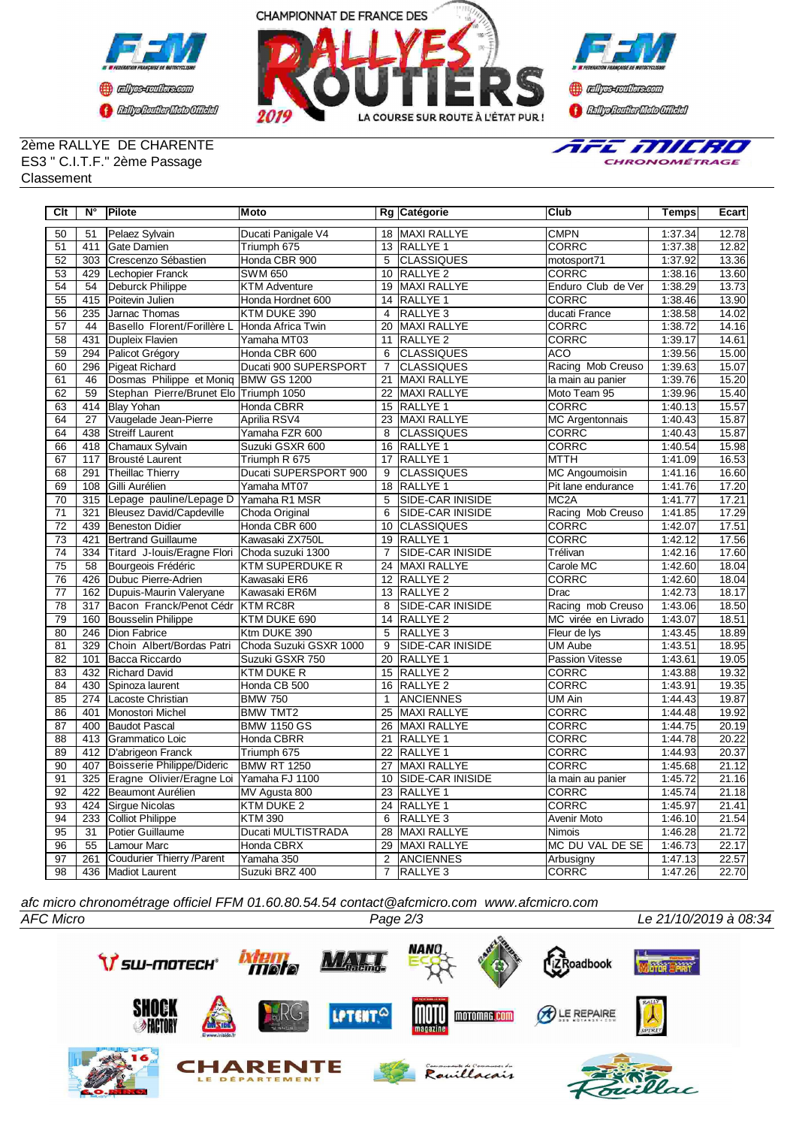





### 2ème RALLYE DE CHARENTE ES3 " C.I.T.F." 2ème Passage Classement



| $\overline{C}$ It | $\overline{\mathsf{N}^{\circ}}$ | Pilote                                 | <b>Moto</b>            |                 | Rg Catégorie            | <b>Club</b>            | <b>Temps</b> | <b>Ecart</b> |
|-------------------|---------------------------------|----------------------------------------|------------------------|-----------------|-------------------------|------------------------|--------------|--------------|
| 50                | 51                              | Pelaez Sylvain                         | Ducati Panigale V4     |                 | 18 MAXI RALLYE          | <b>CMPN</b>            | 1:37.34      | 12.78        |
| 51                | 411                             | Gate Damien                            | Triumph 675            |                 | 13 RALLYE 1             | <b>CORRC</b>           | 1:37.38      | 12.82        |
| 52                | $\overline{303}$                | Crescenzo Sébastien                    | Honda CBR 900          | 5               | <b>CLASSIQUES</b>       | motosport71            | 1:37.92      | 13.36        |
| 53                | 429                             | Lechopier Franck                       | <b>SWM 650</b>         |                 | 10 RALLYE 2             | <b>CORRC</b>           | 1:38.16      | 13.60        |
| 54                | $\overline{54}$                 | Deburck Philippe                       | <b>KTM Adventure</b>   |                 | 19 MAXI RALLYE          | Enduro Club de Ver     | 1:38.29      | 13.73        |
| 55                | 415                             | Poitevin Julien                        | Honda Hordnet 600      |                 | 14 RALLYE 1             | <b>CORRC</b>           | 1:38.46      | 13.90        |
| 56                | 235                             | Jarnac Thomas                          | KTM DUKE 390           | $\overline{4}$  | <b>RALLYE3</b>          | ducati France          | 1:38.58      | 14.02        |
| 57                | 44                              | Basello Florent/Forillère L            | Honda Africa Twin      | 20              | <b>MAXI RALLYE</b>      | <b>CORRC</b>           | 1:38.72      | 14.16        |
| $\overline{58}$   | 431                             | Dupleix Flavien                        | Yamaha MT03            | 11              | <b>RALLYE 2</b>         | <b>CORRC</b>           | 1:39.17      | 14.61        |
| 59                | 294                             | Palicot Grégory                        | Honda CBR 600          | 6               | <b>CLASSIQUES</b>       | <b>ACO</b>             | 1:39.56      | 15.00        |
| 60                | 296                             | Pigeat Richard                         | Ducati 900 SUPERSPORT  | $\overline{7}$  | <b>CLASSIQUES</b>       | Racing Mob Creuso      | 1:39.63      | 15.07        |
| 61                | 46                              | Dosmas Philippe et Moniq               | BMW GS 1200            | 21              | <b>MAXI RALLYE</b>      | la main au panier      | 1:39.76      | 15.20        |
| 62                | 59                              | Stephan Pierre/Brunet Elo Triumph 1050 |                        | $\overline{22}$ | <b>MAXI RALLYE</b>      | Moto Team 95           | 1:39.96      | 15.40        |
| 63                | 414                             | <b>Blay Yohan</b>                      | Honda CBRR             | 15              | RALLYE <sub>1</sub>     | CORRC                  | 1:40.13      | 15.57        |
| 64                | $\overline{27}$                 | Vaugelade Jean-Pierre                  | Aprilia RSV4           | $\overline{23}$ | <b>MAXI RALLYE</b>      | <b>MC Argentonnais</b> | 1:40.43      | 15.87        |
| 64                | 438                             | <b>Streiff Laurent</b>                 | Yamaha FZR 600         | 8               | <b>CLASSIQUES</b>       | <b>CORRC</b>           | 1:40.43      | 15.87        |
| 66                | 418                             | Chamaux Sylvain                        | Suzuki GSXR 600        | 16              | <b>RALLYE 1</b>         | <b>CORRC</b>           | 1:40.54      | 15.98        |
| 67                | 117                             | <b>Brousté Laurent</b>                 | Triumph R 675          | $\overline{17}$ | RALLYE <sub>1</sub>     | <b>MTTH</b>            | 1:41.09      | 16.53        |
| 68                | 291                             | Theillac Thierry                       | Ducati SUPERSPORT 900  | 9               | <b>CLASSIQUES</b>       | <b>MC Angoumoisin</b>  | 1:41.16      | 16.60        |
| 69                | 108                             | Gilli Aurélien                         | Yamaha MT07            | 18              | <b>RALLYE 1</b>         | Pit lane endurance     | 1:41.76      | 17.20        |
| $\overline{70}$   | $\overline{315}$                | Lepage pauline/Lepage D                | Yamaha R1 MSR          | 5               | SIDE-CAR INISIDE        | MC <sub>2</sub> A      | 1:41.77      | 17.21        |
| $\overline{71}$   | 321                             | <b>Bleusez David/Capdeville</b>        | Choda Original         | 6               | <b>SIDE-CAR INISIDE</b> | Racing Mob Creuso      | 1:41.85      | 17.29        |
| $\overline{72}$   | 439                             | <b>Beneston Didier</b>                 | Honda CBR 600          | 10              | <b>CLASSIQUES</b>       | <b>CORRC</b>           | 1:42.07      | 17.51        |
| 73                | 421                             | Bertrand Guillaume                     | Kawasaki ZX750L        | 19              | <b>RALLYE 1</b>         | CORRC                  | 1:42.12      | 17.56        |
| 74                | 334                             | Titard J-louis/Eragne Flori            | Choda suzuki 1300      | $\overline{7}$  | <b>SIDE-CAR INISIDE</b> | Trélivan               | 1:42.16      | 17.60        |
| $\overline{75}$   | 58                              | Bourgeois Frédéric                     | <b>KTM SUPERDUKE R</b> | 24              | MAXI RALLYE             | Carole MC              | 1:42.60      | 18.04        |
| 76                | 426                             | Dubuc Pierre-Adrien                    | Kawasaki ER6           | 12              | RALLYE <sub>2</sub>     | <b>CORRC</b>           | 1:42.60      | 18.04        |
| $\overline{77}$   | 162                             | Dupuis-Maurin Valeryane                | Kawasaki ER6M          |                 | 13 RALLYE 2             | <b>Drac</b>            | 1:42.73      | 18.17        |
| 78                | $\overline{317}$                | Bacon Franck/Penot Cédr                | <b>KTM RC8R</b>        | 8               | <b>SIDE-CAR INISIDE</b> | Racing mob Creuso      | 1:43.06      | 18.50        |
| 79                | 160                             | Bousselin Philippe                     | KTM DUKE 690           | 14              | <b>RALLYE 2</b>         | MC virée en Livrado    | 1:43.07      | 18.51        |
| $\overline{80}$   | $\overline{246}$                | <b>Dion Fabrice</b>                    | Ktm DUKE 390           | 5               | <b>RALLYE3</b>          | Fleur de lys           | 1:43.45      | 18.89        |
| $\overline{81}$   | 329                             | Choin Albert/Bordas Patri              | Choda Suzuki GSXR 1000 | 9               | <b>SIDE-CAR INISIDE</b> | <b>UM Aube</b>         | 1:43.51      | 18.95        |
| 82                | 101                             | Bacca Riccardo                         | Suzuki GSXR 750        | 20              | RALLYE <sub>1</sub>     | Passion Vitesse        | 1:43.61      | 19.05        |
| 83                | 432                             | Richard David                          | <b>KTM DUKE R</b>      |                 | 15 RALLYE 2             | <b>CORRC</b>           | 1:43.88      | 19.32        |
| 84                | 430                             | Spinoza laurent                        | Honda CB 500           |                 | 16 RALLYE 2             | <b>CORRC</b>           | 1:43.91      | 19.35        |
| 85                | 274                             | Lacoste Christian                      | <b>BMW 750</b>         | $\mathbf{1}$    | <b>ANCIENNES</b>        | <b>UM Ain</b>          | 1:44.43      | 19.87        |
| $\overline{86}$   | 401                             | Monostori Michel                       | <b>BMW TMT2</b>        | $\overline{25}$ | MAXI RALLYE             | <b>CORRC</b>           | 1:44.48      | 19.92        |
| 87                | 400                             | Baudot Pascal                          | <b>BMW 1150 GS</b>     | 26              | <b>MAXI RALLYE</b>      | <b>CORRC</b>           | 1:44.75      | 20.19        |
| 88                | 413                             | <b>I</b> Grammatico Loic               | <b>Honda CBRR</b>      | 21              | RALLYE <sub>1</sub>     | <b>CORRC</b>           | 1:44.78      | 20.22        |
| 89                | 412                             | D'abrigeon Franck                      | Triumph 675            | 22              | <b>RALLYE 1</b>         | <b>CORRC</b>           | 1:44.93      | 20.37        |
| $\overline{90}$   | 407                             | Boisserie Philippe/Dideric             | <b>BMW RT 1250</b>     | $\overline{27}$ | <b>MAXI RALLYE</b>      | <b>CORRC</b>           | 1:45.68      | 21.12        |
| $\overline{91}$   | 325                             | Eragne Olivier/Eragne Loi              | Yamaha FJ 1100         | 10              | SIDE-CAR INISIDE        | la main au panier      | 1:45.72      | 21.16        |
| 92                | 422                             | Beaumont Aurélien                      | MV Agusta 800          | 23              | RALLYE <sub>1</sub>     | CORRC                  | 1:45.74      | 21.18        |
| 93                | 424                             | Sirgue Nicolas                         | KTM DUKE 2             | $\overline{2}4$ | <b>RALLYE 1</b>         | <b>CORRC</b>           | 1:45.97      | 21.41        |
| 94                | 233                             | Colliot Philippe                       | <b>KTM 390</b>         | 6               | RALLYE <sub>3</sub>     | <b>Avenir Moto</b>     | 1:46.10      | 21.54        |
| 95                | 31                              | Potier Guillaume                       | Ducati MULTISTRADA     | 28              | MAXI RALLYE             | Nimois                 | 1:46.28      | 21.72        |
| 96                | 55                              | Lamour Marc                            | <b>Honda CBRX</b>      | 29              | <b>MAXI RALLYE</b>      | MC DU VAL DE SE        | 1:46.73      | 22.17        |
| 97                | 261                             | Coudurier Thierry / Parent             | Yamaha 350             | 2               | ANCIENNES               | Arbusigny              | 1:47.13      | 22.57        |
| 98                | 436                             | Madiot Laurent                         | Suzuki BRZ 400         | 7               | RALLYE <sub>3</sub>     | <b>CORRC</b>           | 1:47.26      | 22.70        |

*afc micro chronométrage officiel FFM 01.60.80.54.54 contact@afcmicro.com www.afcmicro.com*